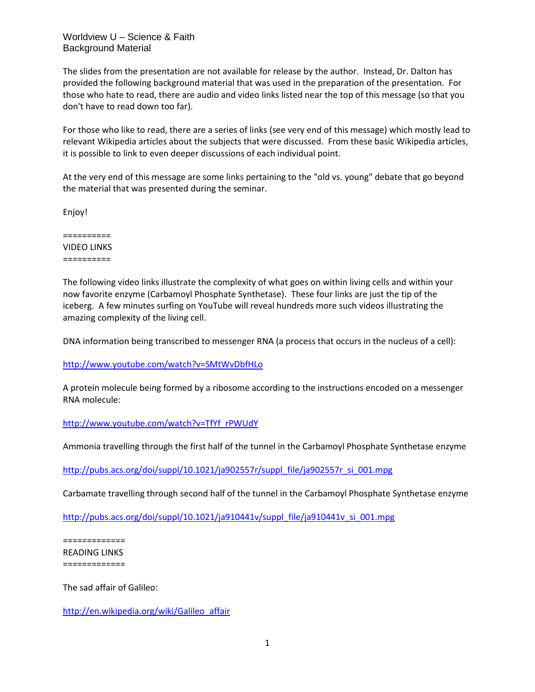## Worldview U – Science & Faith Background Material

The slides from the presentation are not available for release by the author. Instead, Dr. Dalton has provided the following background material that was used in the preparation of the presentation. For those who hate to read, there are audio and video links listed near the top of this message (so that you don't have to read down too far).

For those who like to read, there are a series of links (see very end of this message) which mostly lead to relevant Wikipedia articles about the subjects that were discussed. From these basic Wikipedia articles, it is possible to link to even deeper discussions of each individual point.

At the very end of this message are some links pertaining to the "old vs. young" debate that go beyond the material that was presented during the seminar.

Enjoy!

========== VIDEO LINKS ==========

The following video links illustrate the complexity of what goes on within living cells and within your now favorite enzyme (Carbamoyl Phosphate Synthetase). These four links are just the tip of the iceberg. A few minutes surfing on YouTube will reveal hundreds more such videos illustrating the amazing complexity of the living cell.

DNA information being transcribed to messenger RNA (a process that occurs in the nucleus of a cell):

<http://www.youtube.com/watch?v=SMtWvDbfHLo>

A protein molecule being formed by a ribosome according to the instructions encoded on a messenger RNA molecule:

## [http://www.youtube.com/watch?v=TfYf\\_rPWUdY](http://www.youtube.com/watch?v=TfYf_rPWUdY)

Ammonia travelling through the first half of the tunnel in the Carbamoyl Phosphate Synthetase enzyme

[http://pubs.acs.org/doi/suppl/10.1021/ja902557r/suppl\\_file/ja902557r\\_si\\_001.mpg](http://pubs.acs.org/doi/suppl/10.1021/ja902557r/suppl_file/ja902557r_si_001.mpg)

Carbamate travelling through second half of the tunnel in the Carbamoyl Phosphate Synthetase enzyme

[http://pubs.acs.org/doi/suppl/10.1021/ja910441v/suppl\\_file/ja910441v\\_si\\_001.mpg](http://pubs.acs.org/doi/suppl/10.1021/ja910441v/suppl_file/ja910441v_si_001.mpg)

============= READING LINKS =============

The sad affair of Galileo:

[http://en.wikipedia.org/wiki/Galileo\\_affair](http://en.wikipedia.org/wiki/Galileo_affair)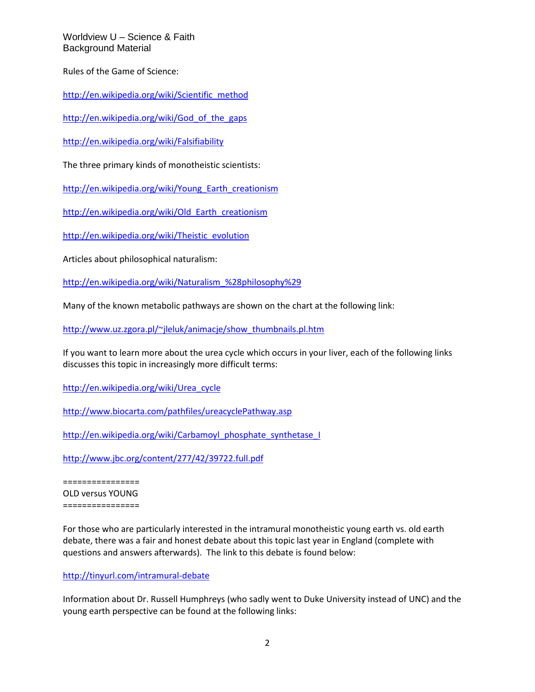Worldview U – Science & Faith Background Material

Rules of the Game of Science:

[http://en.wikipedia.org/wiki/Scientific\\_method](http://en.wikipedia.org/wiki/Scientific_method)

http://en.wikipedia.org/wiki/God of the gaps

<http://en.wikipedia.org/wiki/Falsifiability>

The three primary kinds of monotheistic scientists:

[http://en.wikipedia.org/wiki/Young\\_Earth\\_creationism](http://en.wikipedia.org/wiki/Young_Earth_creationism)

[http://en.wikipedia.org/wiki/Old\\_Earth\\_creationism](http://en.wikipedia.org/wiki/Old_Earth_creationism)

[http://en.wikipedia.org/wiki/Theistic\\_evolution](http://en.wikipedia.org/wiki/Theistic_evolution)

Articles about philosophical naturalism:

[http://en.wikipedia.org/wiki/Naturalism\\_%28philosophy%29](http://en.wikipedia.org/wiki/Naturalism_%28philosophy%29)

Many of the known metabolic pathways are shown on the chart at the following link:

[http://www.uz.zgora.pl/~jleluk/animacje/show\\_thumbnails.pl.htm](http://www.uz.zgora.pl/~jleluk/animacje/show_thumbnails.pl.htm)

If you want to learn more about the urea cycle which occurs in your liver, each of the following links discusses this topic in increasingly more difficult terms:

[http://en.wikipedia.org/wiki/Urea\\_cycle](http://en.wikipedia.org/wiki/Urea_cycle)

<http://www.biocarta.com/pathfiles/ureacyclePathway.asp>

[http://en.wikipedia.org/wiki/Carbamoyl\\_phosphate\\_synthetase\\_I](http://en.wikipedia.org/wiki/Carbamoyl_phosphate_synthetase_I)

<http://www.jbc.org/content/277/42/39722.full.pdf>

================ OLD versus YOUNG ================

For those who are particularly interested in the intramural monotheistic young earth vs. old earth debate, there was a fair and honest debate about this topic last year in England (complete with questions and answers afterwards). The link to this debate is found below:

<http://tinyurl.com/intramural-debate>

Information about Dr. Russell Humphreys (who sadly went to Duke University instead of UNC) and the young earth perspective can be found at the following links: